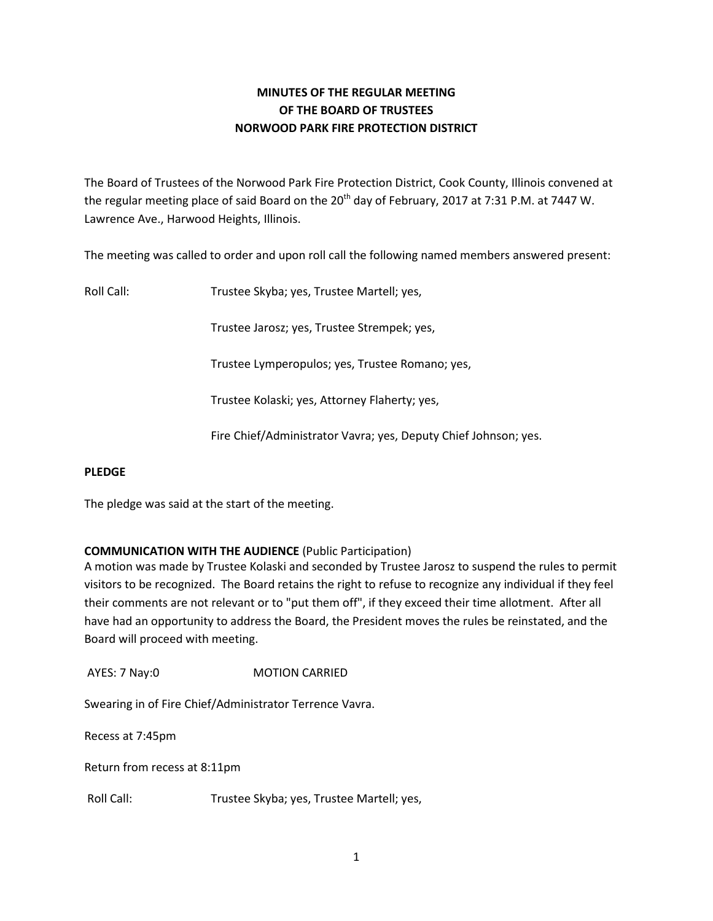# **MINUTES OF THE REGULAR MEETING OF THE BOARD OF TRUSTEES NORWOOD PARK FIRE PROTECTION DISTRICT**

The Board of Trustees of the Norwood Park Fire Protection District, Cook County, Illinois convened at the regular meeting place of said Board on the  $20<sup>th</sup>$  day of February, 2017 at 7:31 P.M. at 7447 W. Lawrence Ave., Harwood Heights, Illinois.

The meeting was called to order and upon roll call the following named members answered present:

Roll Call: Trustee Skyba; yes, Trustee Martell; yes,

Trustee Jarosz; yes, Trustee Strempek; yes,

Trustee Lymperopulos; yes, Trustee Romano; yes,

Trustee Kolaski; yes, Attorney Flaherty; yes,

Fire Chief/Administrator Vavra; yes, Deputy Chief Johnson; yes.

#### **PLEDGE**

The pledge was said at the start of the meeting.

## **COMMUNICATION WITH THE AUDIENCE** (Public Participation)

A motion was made by Trustee Kolaski and seconded by Trustee Jarosz to suspend the rules to permit visitors to be recognized. The Board retains the right to refuse to recognize any individual if they feel their comments are not relevant or to "put them off", if they exceed their time allotment. After all have had an opportunity to address the Board, the President moves the rules be reinstated, and the Board will proceed with meeting.

AYES: 7 Nay:0 MOTION CARRIED

Swearing in of Fire Chief/Administrator Terrence Vavra.

Recess at 7:45pm

Return from recess at 8:11pm

Roll Call: Trustee Skyba; yes, Trustee Martell; yes,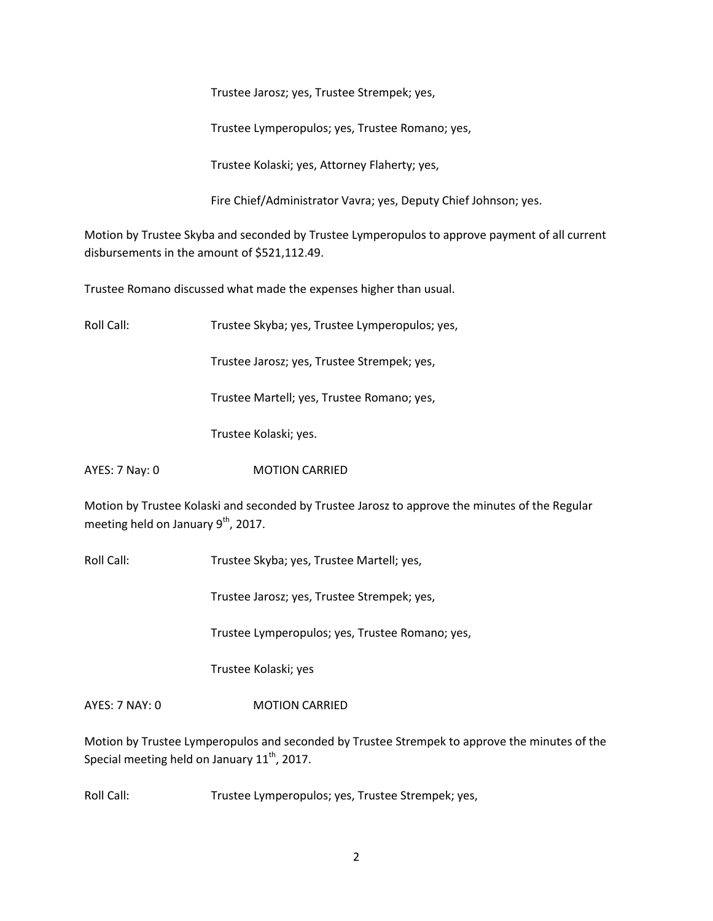Trustee Jarosz; yes, Trustee Strempek; yes,

Trustee Lymperopulos; yes, Trustee Romano; yes,

Trustee Kolaski; yes, Attorney Flaherty; yes,

Fire Chief/Administrator Vavra; yes, Deputy Chief Johnson; yes.

Motion by Trustee Skyba and seconded by Trustee Lymperopulos to approve payment of all current disbursements in the amount of \$521,112.49.

Trustee Romano discussed what made the expenses higher than usual.

Roll Call: Trustee Skyba; yes, Trustee Lymperopulos; yes,

Trustee Jarosz; yes, Trustee Strempek; yes,

Trustee Martell; yes, Trustee Romano; yes,

Trustee Kolaski; yes.

AYES: 7 Nay: 0 MOTION CARRIED

Motion by Trustee Kolaski and seconded by Trustee Jarosz to approve the minutes of the Regular meeting held on January  $9<sup>th</sup>$ , 2017.

Roll Call: Trustee Skyba; yes, Trustee Martell; yes,

Trustee Jarosz; yes, Trustee Strempek; yes,

Trustee Lymperopulos; yes, Trustee Romano; yes,

Trustee Kolaski; yes

AYES: 7 NAY: 0 **MOTION CARRIED** 

Motion by Trustee Lymperopulos and seconded by Trustee Strempek to approve the minutes of the Special meeting held on January  $11^{th}$ , 2017.

Roll Call: Trustee Lymperopulos; yes, Trustee Strempek; yes,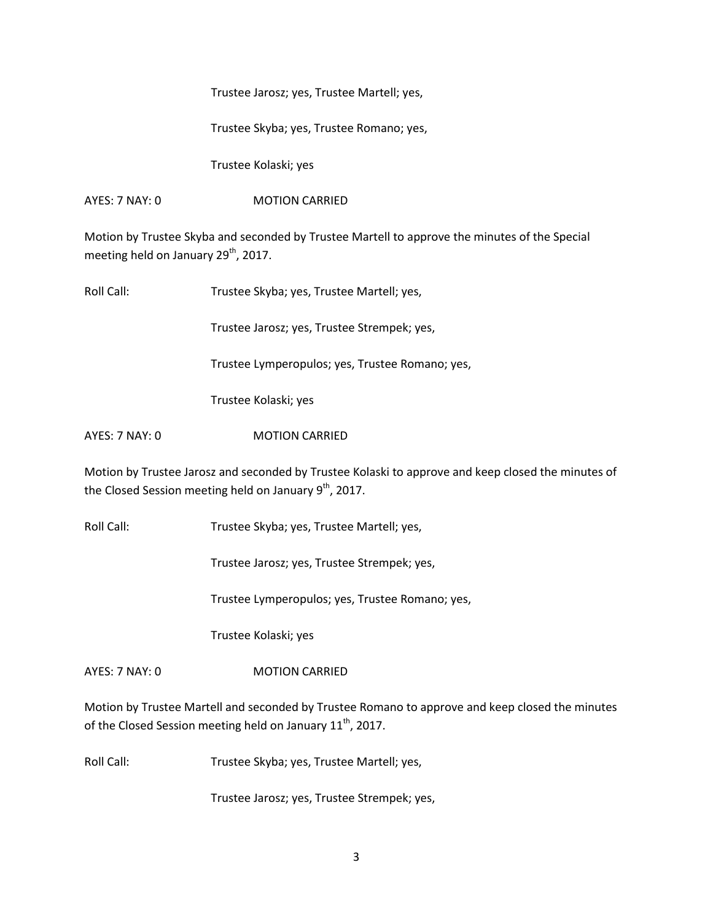Trustee Jarosz; yes, Trustee Martell; yes,

Trustee Skyba; yes, Trustee Romano; yes,

Trustee Kolaski; yes

AYES: 7 NAY: 0 **MOTION CARRIED** 

Motion by Trustee Skyba and seconded by Trustee Martell to approve the minutes of the Special meeting held on January 29<sup>th</sup>, 2017.

Roll Call: Trustee Skyba; yes, Trustee Martell; yes,

Trustee Jarosz; yes, Trustee Strempek; yes,

Trustee Lymperopulos; yes, Trustee Romano; yes,

Trustee Kolaski; yes

AYES: 7 NAY: 0 **MOTION CARRIED** 

Motion by Trustee Jarosz and seconded by Trustee Kolaski to approve and keep closed the minutes of the Closed Session meeting held on January  $9<sup>th</sup>$ , 2017.

Roll Call: Trustee Skyba; yes, Trustee Martell; yes,

Trustee Jarosz; yes, Trustee Strempek; yes,

Trustee Lymperopulos; yes, Trustee Romano; yes,

Trustee Kolaski; yes

AYES: 7 NAY: 0 **MOTION CARRIED** 

Motion by Trustee Martell and seconded by Trustee Romano to approve and keep closed the minutes of the Closed Session meeting held on January 11<sup>th</sup>, 2017.

Roll Call: Trustee Skyba; yes, Trustee Martell; yes,

Trustee Jarosz; yes, Trustee Strempek; yes,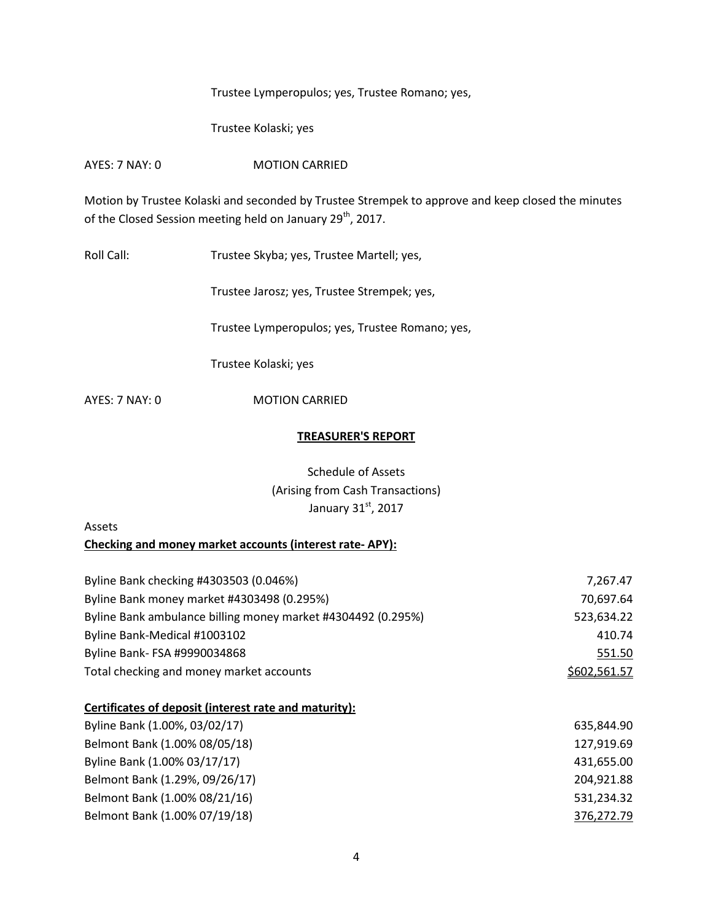Trustee Lymperopulos; yes, Trustee Romano; yes,

Trustee Kolaski; yes

AYES: 7 NAY: 0 MOTION CARRIED

Motion by Trustee Kolaski and seconded by Trustee Strempek to approve and keep closed the minutes of the Closed Session meeting held on January 29<sup>th</sup>, 2017.

Roll Call: Trustee Skyba; yes, Trustee Martell; yes,

Trustee Jarosz; yes, Trustee Strempek; yes,

Trustee Lymperopulos; yes, Trustee Romano; yes,

Trustee Kolaski; yes

AYES: 7 NAY: 0 MOTION CARRIED

#### **TREASURER'S REPORT**

Schedule of Assets (Arising from Cash Transactions) January  $31<sup>st</sup>$ , 2017

# Assets

**Checking and money market accounts (interest rate- APY):** 

| Byline Bank checking #4303503 (0.046%)                       | 7,267.47     |
|--------------------------------------------------------------|--------------|
| Byline Bank money market #4303498 (0.295%)                   | 70,697.64    |
| Byline Bank ambulance billing money market #4304492 (0.295%) | 523,634.22   |
| Byline Bank-Medical #1003102                                 | 410.74       |
| Byline Bank- FSA #9990034868                                 | 551.50       |
| Total checking and money market accounts                     | \$602,561.57 |

# **Certificates of deposit (interest rate and maturity):**

| Byline Bank (1.00%, 03/02/17)  | 635,844.90 |
|--------------------------------|------------|
| Belmont Bank (1.00% 08/05/18)  | 127,919.69 |
| Byline Bank (1.00% 03/17/17)   | 431,655.00 |
| Belmont Bank (1.29%, 09/26/17) | 204,921.88 |
| Belmont Bank (1.00% 08/21/16)  | 531,234.32 |
| Belmont Bank (1.00% 07/19/18)  | 376,272.79 |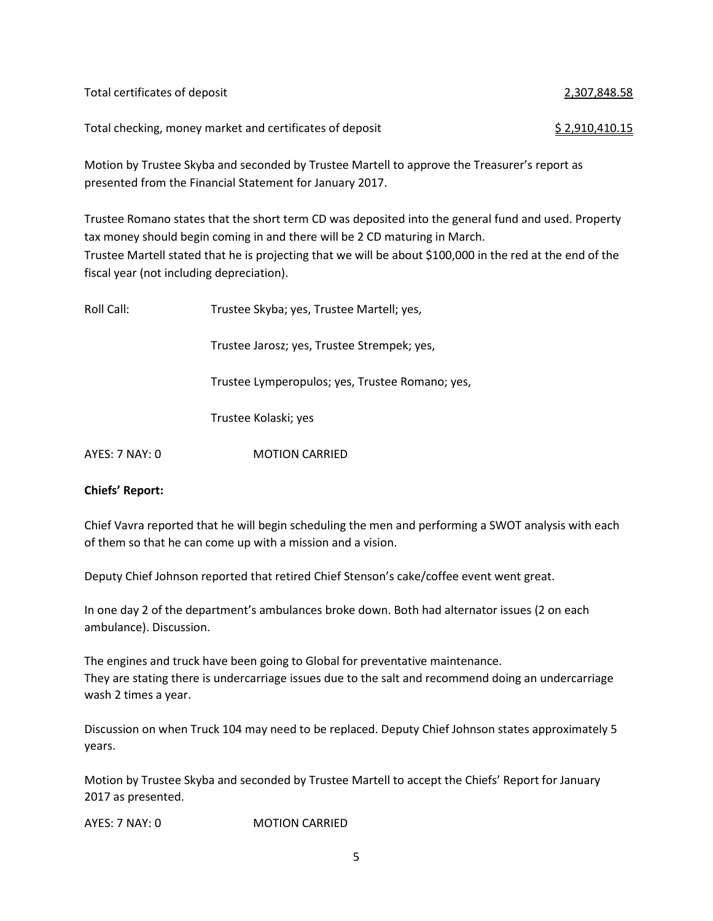| Total certificates of deposit                            | 2,307,848.58          |
|----------------------------------------------------------|-----------------------|
| Total checking, money market and certificates of deposit | <u>\$2,910,410.15</u> |

Motion by Trustee Skyba and seconded by Trustee Martell to approve the Treasurer's report as presented from the Financial Statement for January 2017.

Trustee Romano states that the short term CD was deposited into the general fund and used. Property tax money should begin coming in and there will be 2 CD maturing in March. Trustee Martell stated that he is projecting that we will be about \$100,000 in the red at the end of the fiscal year (not including depreciation).

| Roll Call:     | Trustee Skyba; yes, Trustee Martell; yes,       |  |  |
|----------------|-------------------------------------------------|--|--|
|                | Trustee Jarosz; yes, Trustee Strempek; yes,     |  |  |
|                | Trustee Lymperopulos; yes, Trustee Romano; yes, |  |  |
|                | Trustee Kolaski; yes                            |  |  |
| AYES: 7 NAY: 0 | <b>MOTION CARRIED</b>                           |  |  |

## **Chiefs' Report:**

Chief Vavra reported that he will begin scheduling the men and performing a SWOT analysis with each of them so that he can come up with a mission and a vision.

Deputy Chief Johnson reported that retired Chief Stenson's cake/coffee event went great.

In one day 2 of the department's ambulances broke down. Both had alternator issues (2 on each ambulance). Discussion.

The engines and truck have been going to Global for preventative maintenance. They are stating there is undercarriage issues due to the salt and recommend doing an undercarriage wash 2 times a year.

Discussion on when Truck 104 may need to be replaced. Deputy Chief Johnson states approximately 5 years.

Motion by Trustee Skyba and seconded by Trustee Martell to accept the Chiefs' Report for January 2017 as presented.

AYES: 7 NAY: 0 MOTION CARRIED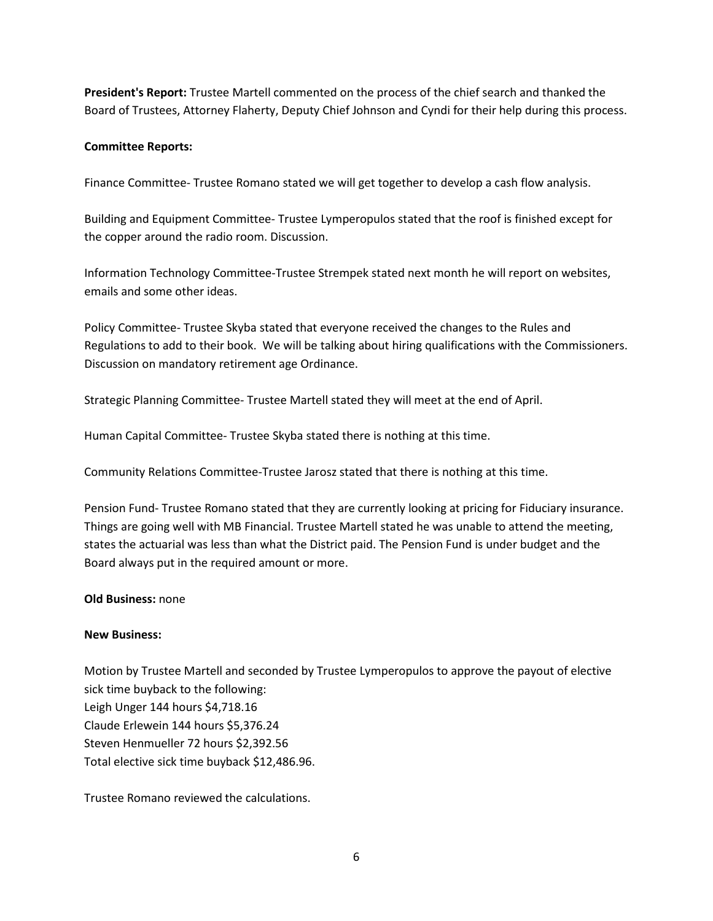**President's Report:** Trustee Martell commented on the process of the chief search and thanked the Board of Trustees, Attorney Flaherty, Deputy Chief Johnson and Cyndi for their help during this process.

### **Committee Reports:**

Finance Committee- Trustee Romano stated we will get together to develop a cash flow analysis.

Building and Equipment Committee- Trustee Lymperopulos stated that the roof is finished except for the copper around the radio room. Discussion.

Information Technology Committee-Trustee Strempek stated next month he will report on websites, emails and some other ideas.

Policy Committee- Trustee Skyba stated that everyone received the changes to the Rules and Regulations to add to their book. We will be talking about hiring qualifications with the Commissioners. Discussion on mandatory retirement age Ordinance.

Strategic Planning Committee- Trustee Martell stated they will meet at the end of April.

Human Capital Committee- Trustee Skyba stated there is nothing at this time.

Community Relations Committee-Trustee Jarosz stated that there is nothing at this time.

Pension Fund- Trustee Romano stated that they are currently looking at pricing for Fiduciary insurance. Things are going well with MB Financial. Trustee Martell stated he was unable to attend the meeting, states the actuarial was less than what the District paid. The Pension Fund is under budget and the Board always put in the required amount or more.

#### **Old Business:** none

#### **New Business:**

Motion by Trustee Martell and seconded by Trustee Lymperopulos to approve the payout of elective sick time buyback to the following: Leigh Unger 144 hours \$4,718.16 Claude Erlewein 144 hours \$5,376.24 Steven Henmueller 72 hours \$2,392.56 Total elective sick time buyback \$12,486.96.

Trustee Romano reviewed the calculations.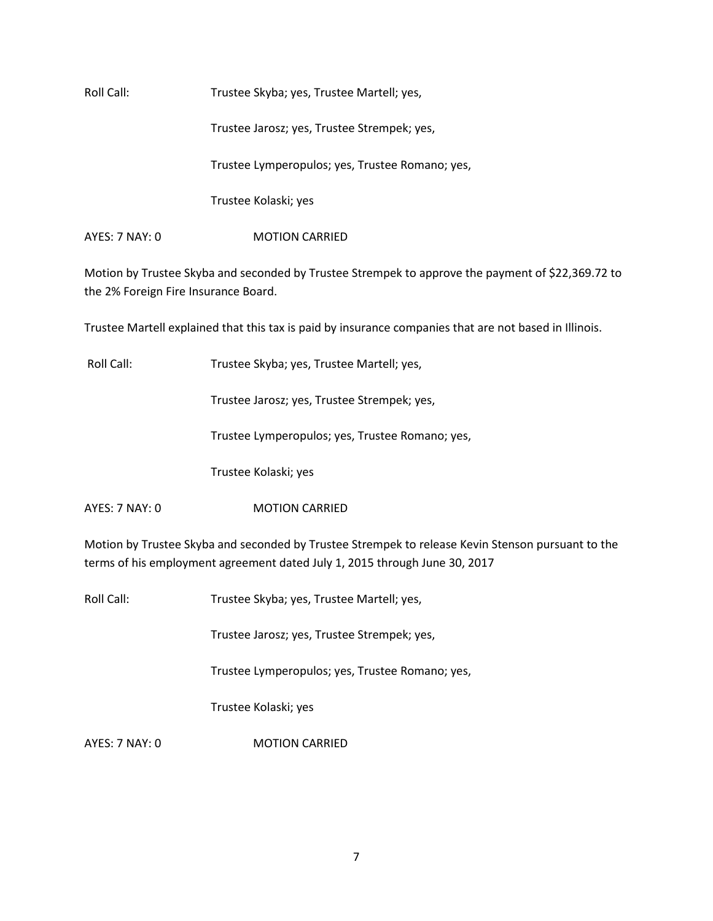Roll Call: Trustee Skyba; yes, Trustee Martell; yes, Trustee Jarosz; yes, Trustee Strempek; yes, Trustee Lymperopulos; yes, Trustee Romano; yes, Trustee Kolaski; yes AYES: 7 NAY: 0 **MOTION CARRIED** 

Motion by Trustee Skyba and seconded by Trustee Strempek to approve the payment of \$22,369.72 to the 2% Foreign Fire Insurance Board.

Trustee Martell explained that this tax is paid by insurance companies that are not based in Illinois.

Roll Call: Trustee Skyba; yes, Trustee Martell; yes,

Trustee Jarosz; yes, Trustee Strempek; yes,

Trustee Lymperopulos; yes, Trustee Romano; yes,

Trustee Kolaski; yes

AYES: 7 NAY: 0 **MOTION CARRIED** 

Motion by Trustee Skyba and seconded by Trustee Strempek to release Kevin Stenson pursuant to the terms of his employment agreement dated July 1, 2015 through June 30, 2017

Roll Call: Trustee Skyba; yes, Trustee Martell; yes,

Trustee Jarosz; yes, Trustee Strempek; yes,

Trustee Lymperopulos; yes, Trustee Romano; yes,

Trustee Kolaski; yes

AYES: 7 NAY: 0 MOTION CARRIED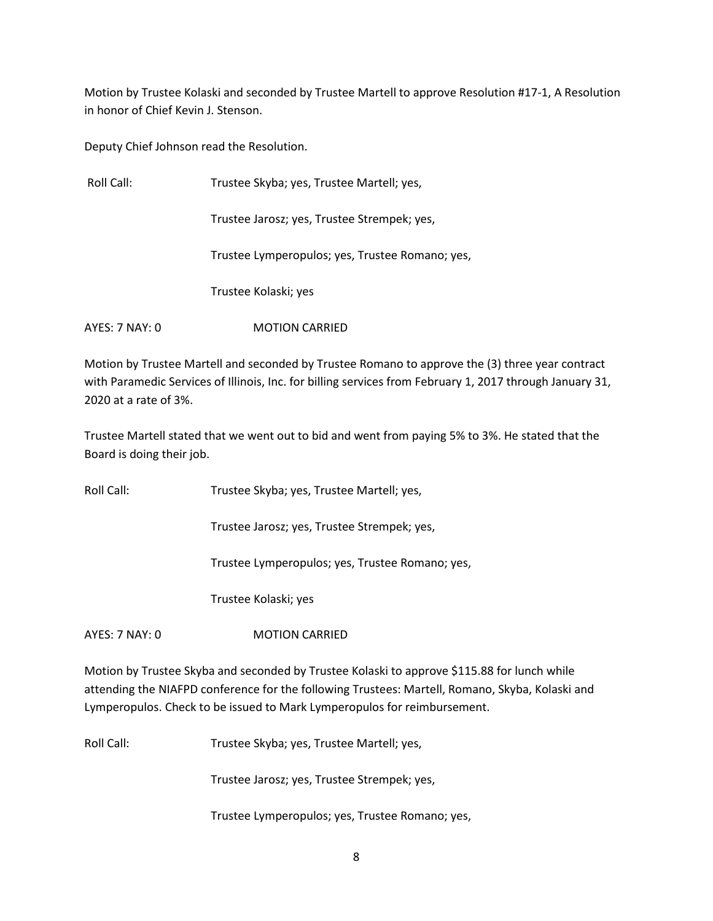Motion by Trustee Kolaski and seconded by Trustee Martell to approve Resolution #17-1, A Resolution in honor of Chief Kevin J. Stenson.

Deputy Chief Johnson read the Resolution.

| Roll Call:     | Trustee Skyba; yes, Trustee Martell; yes,       |  |
|----------------|-------------------------------------------------|--|
|                | Trustee Jarosz; yes, Trustee Strempek; yes,     |  |
|                | Trustee Lymperopulos; yes, Trustee Romano; yes, |  |
|                | Trustee Kolaski; yes                            |  |
| AYES: 7 NAY: 0 | <b>MOTION CARRIED</b>                           |  |

Motion by Trustee Martell and seconded by Trustee Romano to approve the (3) three year contract with Paramedic Services of Illinois, Inc. for billing services from February 1, 2017 through January 31, 2020 at a rate of 3%.

Trustee Martell stated that we went out to bid and went from paying 5% to 3%. He stated that the Board is doing their job.

Roll Call: Trustee Skyba; yes, Trustee Martell; yes,

Trustee Jarosz; yes, Trustee Strempek; yes,

Trustee Lymperopulos; yes, Trustee Romano; yes,

Trustee Kolaski; yes

AYES: 7 NAY: 0 **MOTION CARRIED** 

Motion by Trustee Skyba and seconded by Trustee Kolaski to approve \$115.88 for lunch while attending the NIAFPD conference for the following Trustees: Martell, Romano, Skyba, Kolaski and Lymperopulos. Check to be issued to Mark Lymperopulos for reimbursement.

Roll Call: Trustee Skyba; yes, Trustee Martell; yes,

Trustee Jarosz; yes, Trustee Strempek; yes,

Trustee Lymperopulos; yes, Trustee Romano; yes,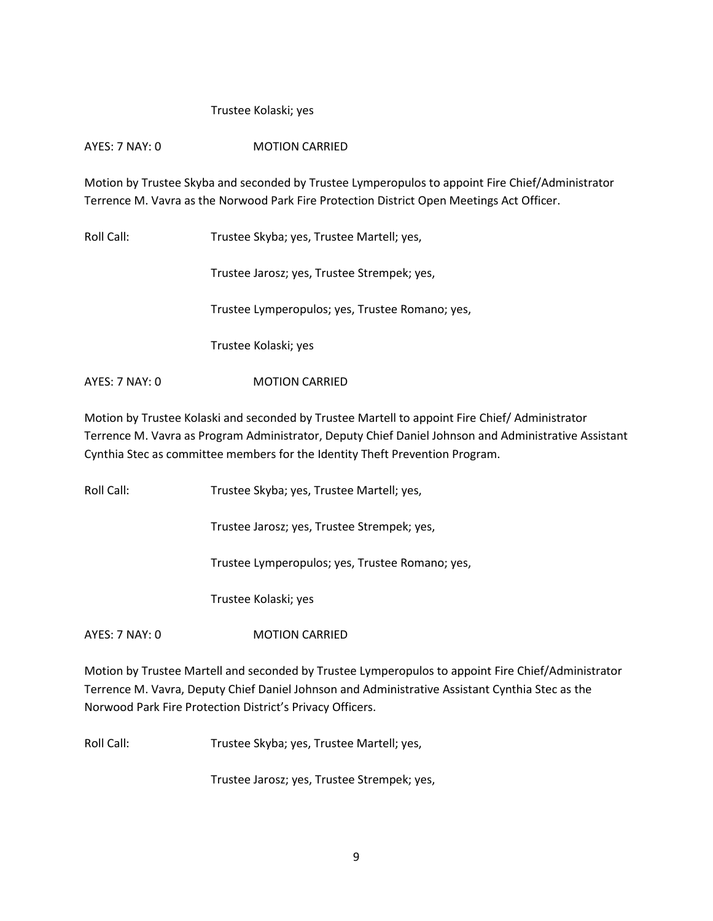## Trustee Kolaski; yes

# AYES: 7 NAY: 0 MOTION CARRIED

Motion by Trustee Skyba and seconded by Trustee Lymperopulos to appoint Fire Chief/Administrator Terrence M. Vavra as the Norwood Park Fire Protection District Open Meetings Act Officer.

Roll Call: Trustee Skyba; yes, Trustee Martell; yes,

Trustee Jarosz; yes, Trustee Strempek; yes,

Trustee Lymperopulos; yes, Trustee Romano; yes,

Trustee Kolaski; yes

AYES: 7 NAY: 0 MOTION CARRIED

Motion by Trustee Kolaski and seconded by Trustee Martell to appoint Fire Chief/ Administrator Terrence M. Vavra as Program Administrator, Deputy Chief Daniel Johnson and Administrative Assistant Cynthia Stec as committee members for the Identity Theft Prevention Program.

Roll Call: Trustee Skyba; yes, Trustee Martell; yes,

Trustee Jarosz; yes, Trustee Strempek; yes,

Trustee Lymperopulos; yes, Trustee Romano; yes,

Trustee Kolaski; yes

AYES: 7 NAY: 0 **MOTION CARRIED** 

Motion by Trustee Martell and seconded by Trustee Lymperopulos to appoint Fire Chief/Administrator Terrence M. Vavra, Deputy Chief Daniel Johnson and Administrative Assistant Cynthia Stec as the Norwood Park Fire Protection District's Privacy Officers.

Roll Call: Trustee Skyba; yes, Trustee Martell; yes,

Trustee Jarosz; yes, Trustee Strempek; yes,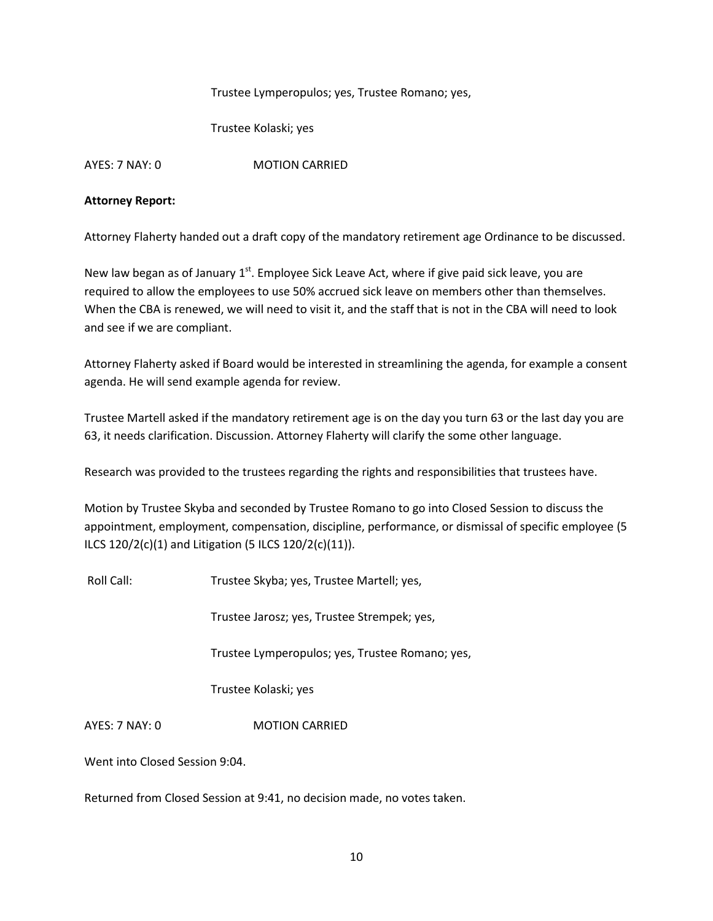Trustee Lymperopulos; yes, Trustee Romano; yes,

Trustee Kolaski; yes

AYES: 7 NAY: 0 MOTION CARRIED

## **Attorney Report:**

Attorney Flaherty handed out a draft copy of the mandatory retirement age Ordinance to be discussed.

New law began as of January  $1<sup>st</sup>$ . Employee Sick Leave Act, where if give paid sick leave, you are required to allow the employees to use 50% accrued sick leave on members other than themselves. When the CBA is renewed, we will need to visit it, and the staff that is not in the CBA will need to look and see if we are compliant.

Attorney Flaherty asked if Board would be interested in streamlining the agenda, for example a consent agenda. He will send example agenda for review.

Trustee Martell asked if the mandatory retirement age is on the day you turn 63 or the last day you are 63, it needs clarification. Discussion. Attorney Flaherty will clarify the some other language.

Research was provided to the trustees regarding the rights and responsibilities that trustees have.

Motion by Trustee Skyba and seconded by Trustee Romano to go into Closed Session to discuss the appointment, employment, compensation, discipline, performance, or dismissal of specific employee (5 ILCS 120/2(c)(1) and Litigation (5 ILCS 120/2(c)(11)).

Roll Call: Trustee Skyba; yes, Trustee Martell; yes,

Trustee Jarosz; yes, Trustee Strempek; yes,

Trustee Lymperopulos; yes, Trustee Romano; yes,

Trustee Kolaski; yes

AYES: 7 NAY: 0 **MOTION CARRIED** 

Went into Closed Session 9:04.

Returned from Closed Session at 9:41, no decision made, no votes taken.